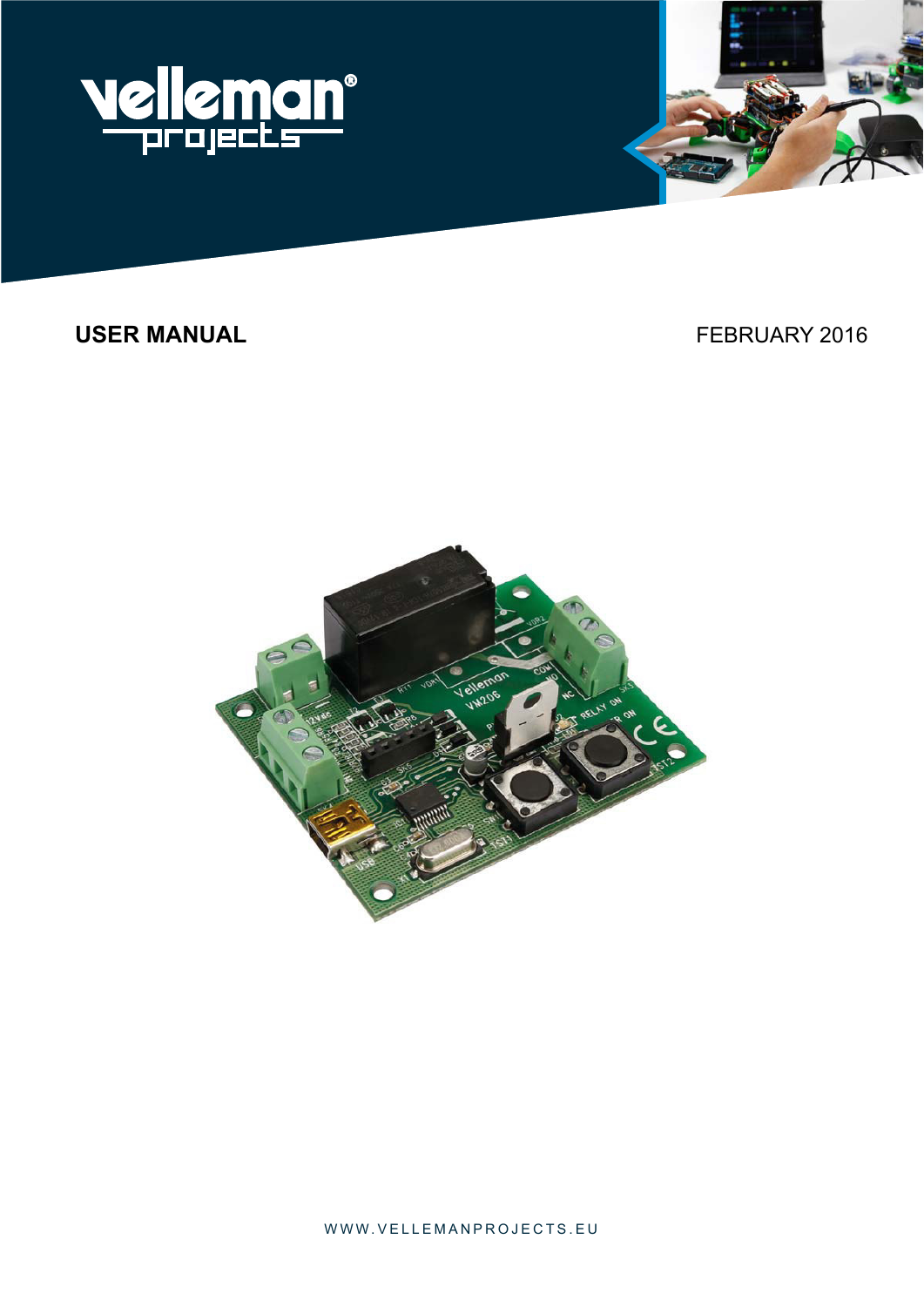



# **USER MANUAL EXAMPLE 2016**

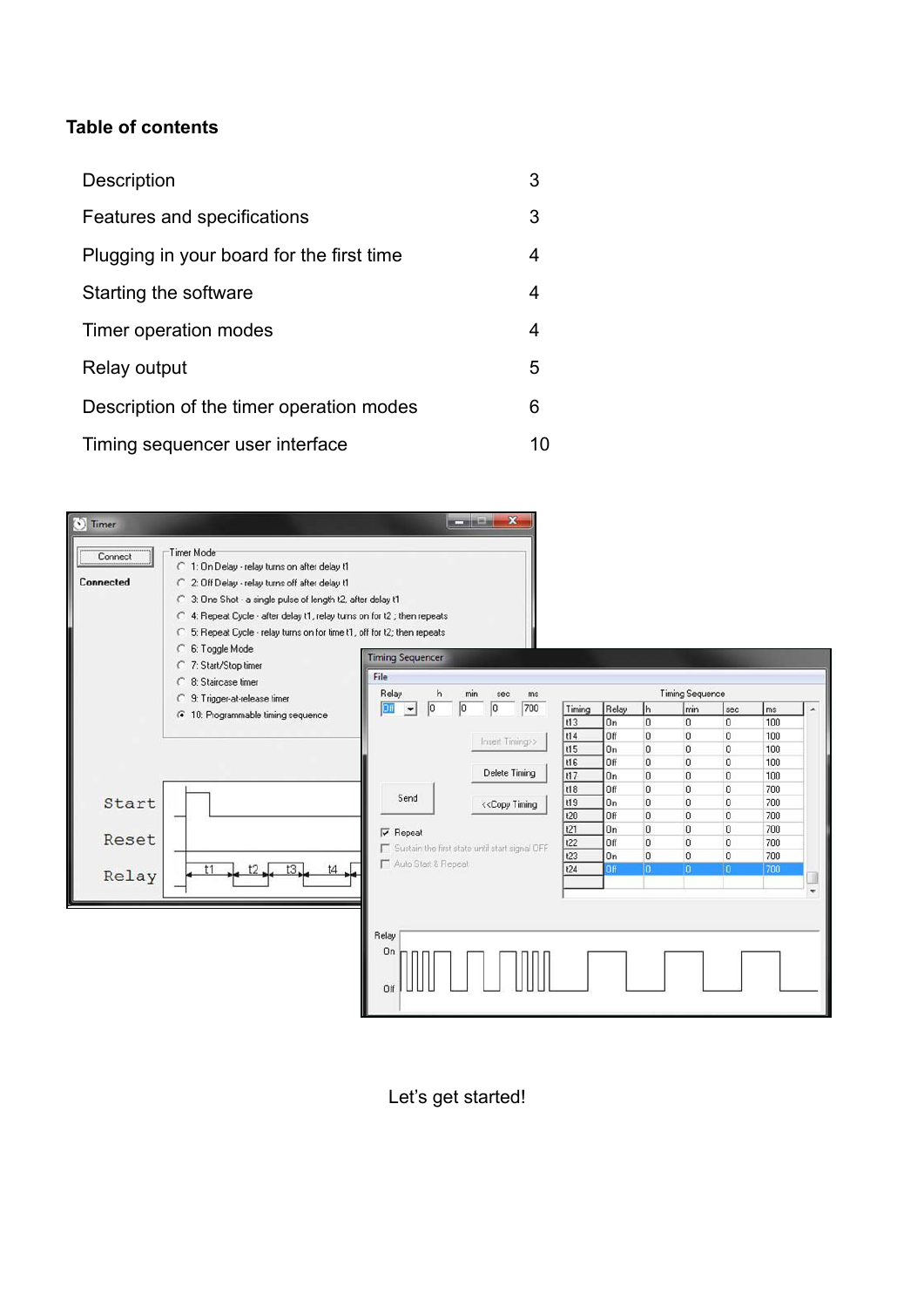# **Table of contents**

| Description                               | 3  |
|-------------------------------------------|----|
| Features and specifications               | 3  |
| Plugging in your board for the first time | 4  |
| Starting the software                     | 4  |
| Timer operation modes                     | 4  |
| Relay output                              | 5  |
| Description of the timer operation modes  | 6  |
| Timing sequencer user interface           | 10 |

| Connect<br>Connected | Timer Mode<br>C 1: On Delay - relay turns on after delay t1<br>C 2: Off Delay - relay turns off after delay t1                                                                                                    |                                         |                                                                                                                                                                          |            |                  |                              |                            |                 |            |                  |
|----------------------|-------------------------------------------------------------------------------------------------------------------------------------------------------------------------------------------------------------------|-----------------------------------------|--------------------------------------------------------------------------------------------------------------------------------------------------------------------------|------------|------------------|------------------------------|----------------------------|-----------------|------------|------------------|
|                      | C 3: One Shot - a single pulse of length t2, after delay t1<br>A: Repeat Cycle - after delay t1, relay turns on for t2 ; then repeats<br>○ 5: Repeat Cycle - relay turns on for time t1, off for t2; then repeats |                                         |                                                                                                                                                                          |            |                  |                              |                            |                 |            |                  |
|                      | C 6: Toggle Mode                                                                                                                                                                                                  | <b>Timing Sequencer</b>                 |                                                                                                                                                                          |            |                  |                              |                            |                 |            |                  |
|                      | C 7: Start/Stop timer<br>C 8: Staircase timer                                                                                                                                                                     | File                                    |                                                                                                                                                                          |            |                  |                              |                            |                 |            |                  |
|                      | C 9: Trigger-at-release timer                                                                                                                                                                                     | Relay<br>h                              | min<br>sec<br>ms                                                                                                                                                         |            |                  |                              | <b>Timing Sequence</b>     |                 |            |                  |
|                      |                                                                                                                                                                                                                   | I٥<br><b>OH</b><br>$\blacktriangledown$ | 700<br>lо<br>I٥                                                                                                                                                          | Timing     | Relay            | h                            | Imin                       | sec             | ms         | $\blacktriangle$ |
|                      | ( 10: Programmable timing sequence                                                                                                                                                                                |                                         |                                                                                                                                                                          | t13        | On               | $\Omega$                     | $\Omega$                   | $\mathbf{0}$    | 100        |                  |
|                      |                                                                                                                                                                                                                   |                                         | Insert Timing>>                                                                                                                                                          | <b>t14</b> | Off              | $\mathbf{0}$                 | $\mathbf 0$                | $\overline{0}$  | 100        |                  |
|                      |                                                                                                                                                                                                                   |                                         |                                                                                                                                                                          | <b>t15</b> | On               | $\mathbf{0}$                 | $\mathbf 0$                | $\mathbf{0}$    | 100        |                  |
|                      |                                                                                                                                                                                                                   |                                         |                                                                                                                                                                          | <b>t16</b> | Off              | $\Omega$                     | $\mathbf 0$                | $\mathbf{0}$    | 100        |                  |
|                      |                                                                                                                                                                                                                   |                                         | Delete Timing                                                                                                                                                            | <b>t17</b> | 0 <sub>n</sub>   | $\Omega$                     | $\mathbf 0$                | $\mathbf{0}$    | 100        |                  |
|                      |                                                                                                                                                                                                                   | Send                                    |                                                                                                                                                                          | <b>t18</b> | Off              | $\Omega$                     | $\Omega$                   | $\Omega$        | 700        |                  |
| Start                |                                                                                                                                                                                                                   |                                         | < <copy td="" timing<=""><td>t19</td><td>On</td><td><math>\bf{0}</math></td><td><math>\mathbf{0}</math></td><td><math>\mathbf{0}</math></td><td>700</td><td></td></copy> | t19        | On               | $\bf{0}$                     | $\mathbf{0}$               | $\mathbf{0}$    | 700        |                  |
|                      |                                                                                                                                                                                                                   |                                         |                                                                                                                                                                          | t20        | Off              | $\mathbf{0}$                 | $\Omega$                   | $\mathbf{0}$    | 700        |                  |
| Reset                |                                                                                                                                                                                                                   | $\nabla$ Repeat                         |                                                                                                                                                                          | t21        | On               | $\mathbf 0$                  | $\mathbf{0}$               | 0               | 700        |                  |
|                      |                                                                                                                                                                                                                   |                                         | Sustain the first state until start signal OFF                                                                                                                           | t22        | Off              | $\mathbf{0}$<br>$\mathbf{0}$ | $\mathbf 0$<br>$\mathbf 0$ | $\mathbf{0}$    | 700        |                  |
|                      | t4                                                                                                                                                                                                                | Auto Start & Repeat                     |                                                                                                                                                                          | t23<br>124 | On<br><b>Off</b> | ID.                          | lo.                        | $\bf{0}$<br>le. | 700<br>700 |                  |
| Relay                |                                                                                                                                                                                                                   |                                         |                                                                                                                                                                          |            |                  |                              |                            |                 |            |                  |
|                      |                                                                                                                                                                                                                   |                                         |                                                                                                                                                                          |            |                  |                              |                            |                 |            |                  |
|                      |                                                                                                                                                                                                                   |                                         |                                                                                                                                                                          |            |                  |                              |                            |                 |            |                  |
|                      |                                                                                                                                                                                                                   |                                         |                                                                                                                                                                          |            |                  |                              |                            |                 |            |                  |
|                      |                                                                                                                                                                                                                   | Relay                                   |                                                                                                                                                                          |            |                  |                              |                            |                 |            |                  |
|                      |                                                                                                                                                                                                                   | <b>On</b>                               |                                                                                                                                                                          |            |                  |                              |                            |                 |            |                  |
|                      |                                                                                                                                                                                                                   |                                         |                                                                                                                                                                          |            |                  |                              |                            |                 |            |                  |
|                      |                                                                                                                                                                                                                   |                                         |                                                                                                                                                                          |            |                  |                              |                            |                 |            |                  |

Let's get started!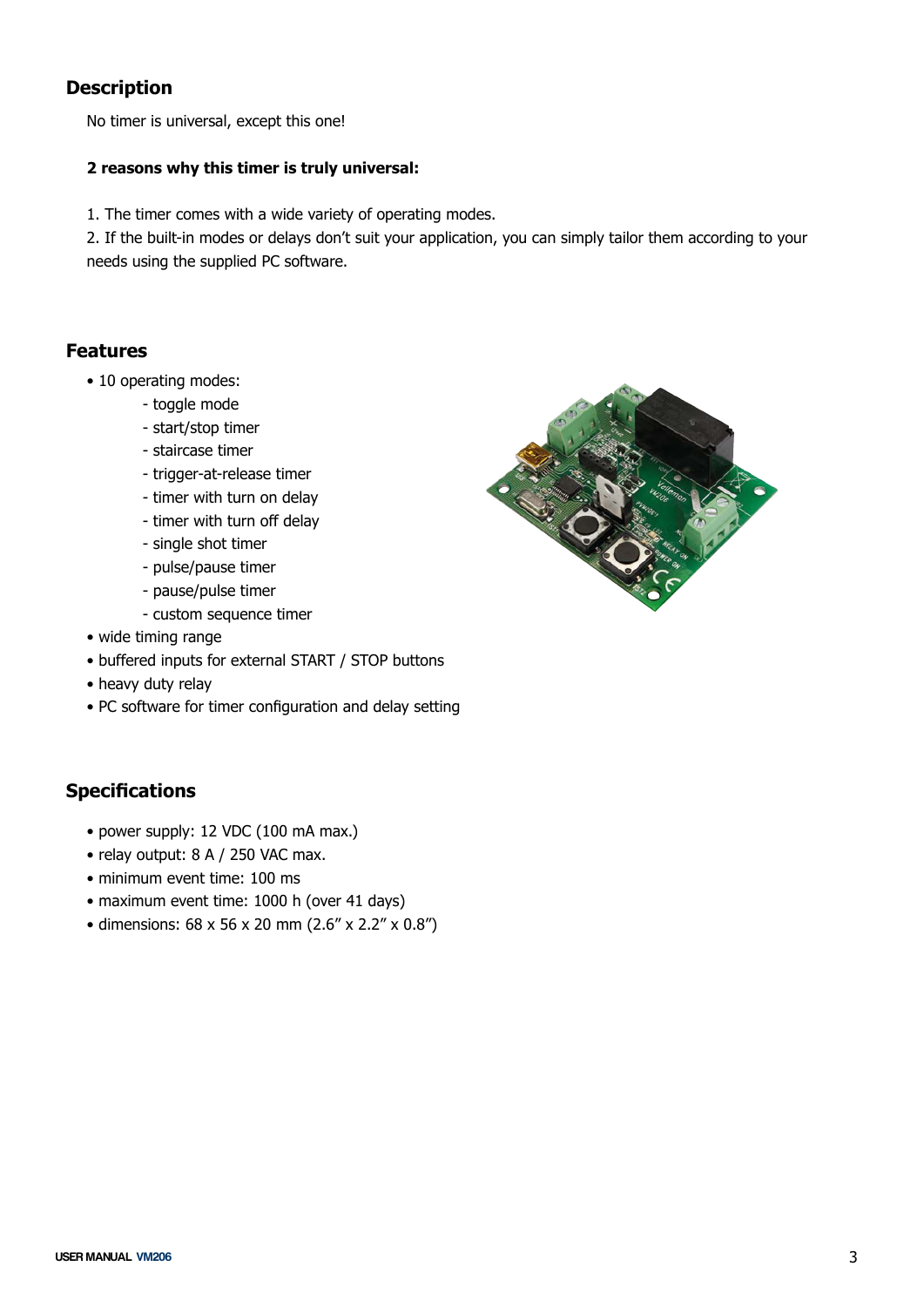# **Description**

No timer is universal, except this one!

### **2 reasons why this timer is truly universal:**

1. The timer comes with a wide variety of operating modes.

2. If the built-in modes or delays don't suit your application, you can simply tailor them according to your needs using the supplied PC software.

## **Features**

- 10 operating modes:
	- toggle mode
	- start/stop timer
	- staircase timer
	- trigger-at-release timer
	- timer with turn on delay
	- timer with turn off delay
	- single shot timer
	- pulse/pause timer
	- pause/pulse timer
	- custom sequence timer
- wide timing range
- buffered inputs for external START / STOP buttons
- heavy duty relay
- PC software for timer configuration and delay setting

# **Specifications**

- power supply: 12 VDC (100 mA max.)
- relay output: 8 A / 250 VAC max.
- minimum event time: 100 ms
- maximum event time: 1000 h (over 41 days)
- dimensions: 68 x 56 x 20 mm (2.6" x 2.2" x 0.8")

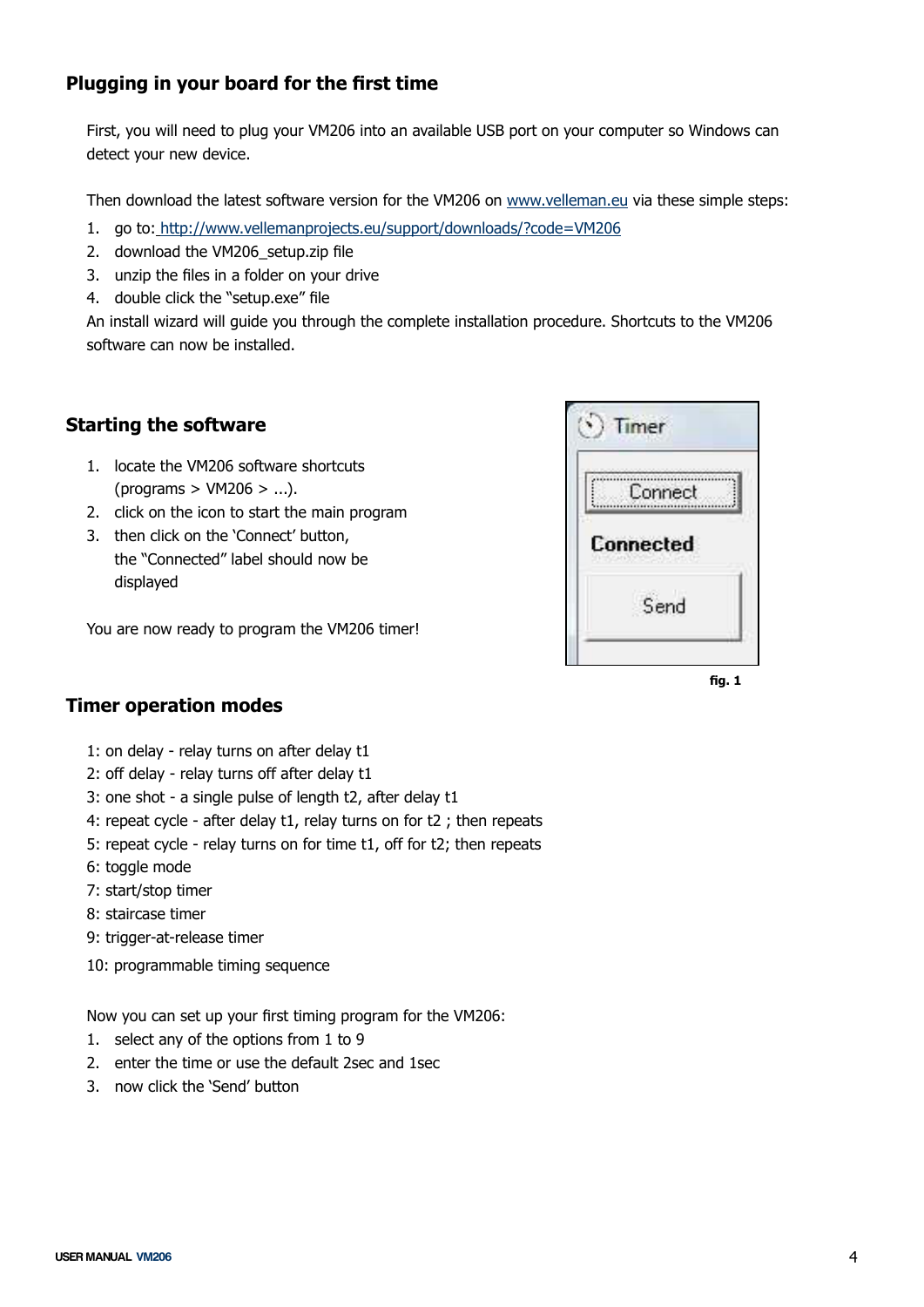# <span id="page-3-0"></span>**Plugging in your board for the first time**

First, you will need to plug your VM206 into an available USB port on your computer so Windows can detect your new device.

Then download the latest software version for the VM206 on <www.velleman.eu> via these simple steps:

- 1. go to: <http://www.vellemanprojects.eu/support/downloads/?code=VM206>
- 2. download the VM206 setup.zip file
- 3. unzip the files in a folder on your drive
- 4. double click the "setup.exe" file

An install wizard will guide you through the complete installation procedure. Shortcuts to the VM206 software can now be installed.

# **Starting the software**

- 1. locate the VM206 software shortcuts  $怨$ (programs > VM206 > ...).
- 2. click on the icon to start the main program
- 3. then click on the 'Connect' button, the "Connected" label should now be displayed

You are now ready to program the VM206 timer!



**fig. 1**

## **Timer operation modes**

- 1: on delay relay turns on after delay t1
- 2: off delay relay turns off after delay t1
- 3: one shot a single pulse of length t2, after delay t1
- 4: repeat cycle after delay t1, relay turns on for t2 ; then repeats
- 5: repeat cycle relay turns on for time t1, off for t2; then repeats
- 6: toggle mode
- 7: start/stop timer
- 8: staircase timer
- 9: trigger-at-release timer
- 10: programmable timing sequence

Now you can set up your first timing program for the VM206:

- 1. select any of the options from 1 to 9
- 2. enter the time or use the default 2sec and 1sec
- 3. now click the 'Send' button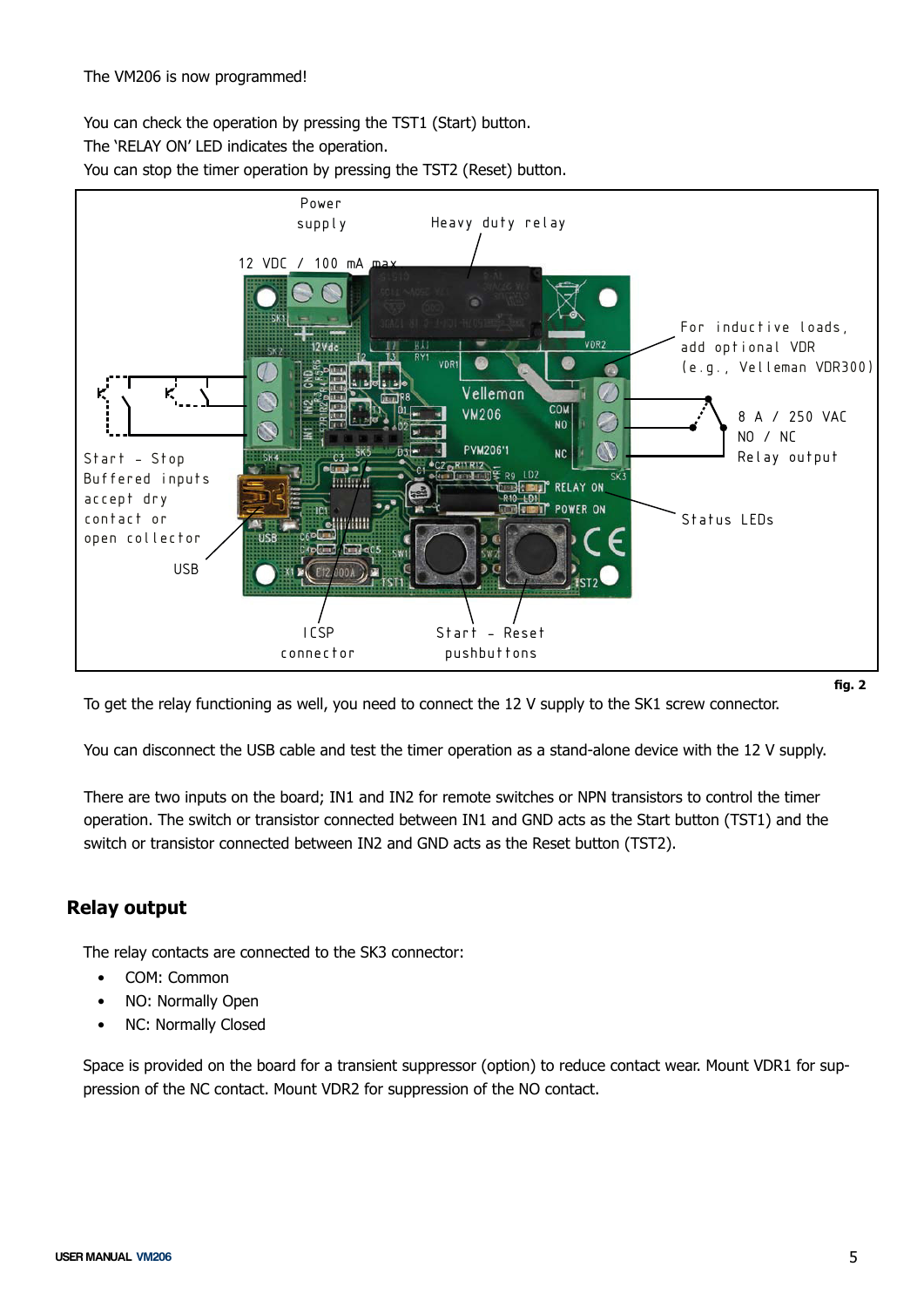<span id="page-4-0"></span>You can check the operation by pressing the TST1 (Start) button.

The 'RELAY ON' LED indicates the operation.

You can stop the timer operation by pressing the TST2 (Reset) button.



**fig. 2**

To get the relay functioning as well, you need to connect the 12 V supply to the SK1 screw connector.

You can disconnect the USB cable and test the timer operation as a stand-alone device with the 12 V supply.

There are two inputs on the board; IN1 and IN2 for remote switches or NPN transistors to control the timer operation. The switch or transistor connected between IN1 and GND acts as the Start button (TST1) and the switch or transistor connected between IN2 and GND acts as the Reset button (TST2).

## **Relay output**

The relay contacts are connected to the SK3 connector:

- COM: Common
- NO: Normally Open
- NC: Normally Closed

Space is provided on the board for a transient suppressor (option) to reduce contact wear. Mount VDR1 for suppression of the NC contact. Mount VDR2 for suppression of the NO contact.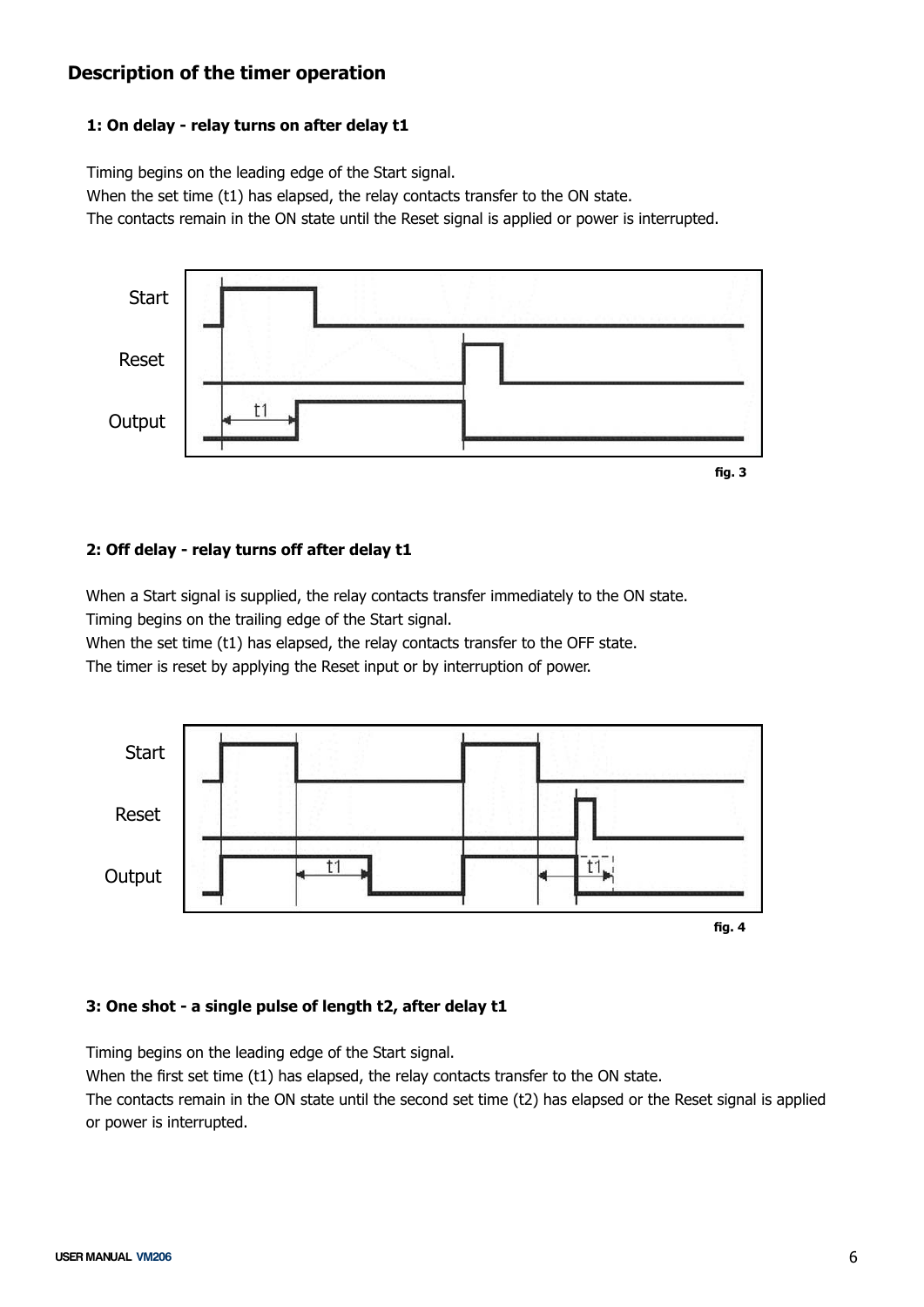# <span id="page-5-0"></span>**Description of the timer operation**

#### **1: On delay - relay turns on after delay t1**

Timing begins on the leading edge of the Start signal.

When the set time (t1) has elapsed, the relay contacts transfer to the ON state.

The contacts remain in the ON state until the Reset signal is applied or power is interrupted.



#### **2: Off delay - relay turns off after delay t1**

When a Start signal is supplied, the relay contacts transfer immediately to the ON state. Timing begins on the trailing edge of the Start signal.

When the set time (t1) has elapsed, the relay contacts transfer to the OFF state.

The timer is reset by applying the Reset input or by interruption of power.



#### **3: One shot - a single pulse of length t2, after delay t1**

Timing begins on the leading edge of the Start signal.

When the first set time (t1) has elapsed, the relay contacts transfer to the ON state.

The contacts remain in the ON state until the second set time (t2) has elapsed or the Reset signal is applied or power is interrupted.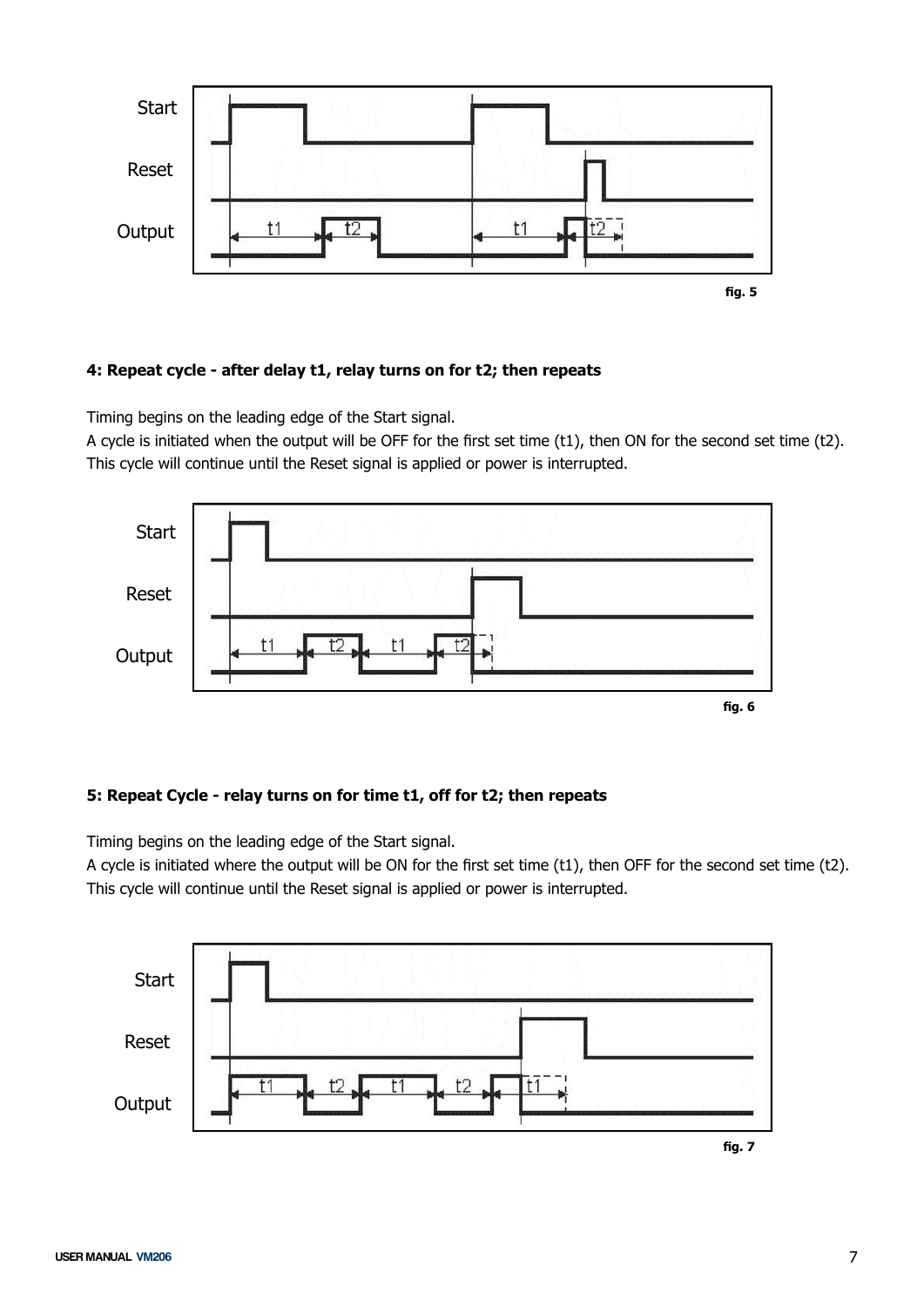

#### **4: Repeat cycle - after delay t1, relay turns on for t2; then repeats**

Timing begins on the leading edge of the Start signal.

A cycle is initiated when the output will be OFF for the first set time (t1), then ON for the second set time (t2). This cycle will continue until the Reset signal is applied or power is interrupted.



## **5: Repeat Cycle - relay turns on for time t1, off for t2; then repeats**

Timing begins on the leading edge of the Start signal.

A cycle is initiated where the output will be ON for the first set time (t1), then OFF for the second set time (t2). This cycle will continue until the Reset signal is applied or power is interrupted.

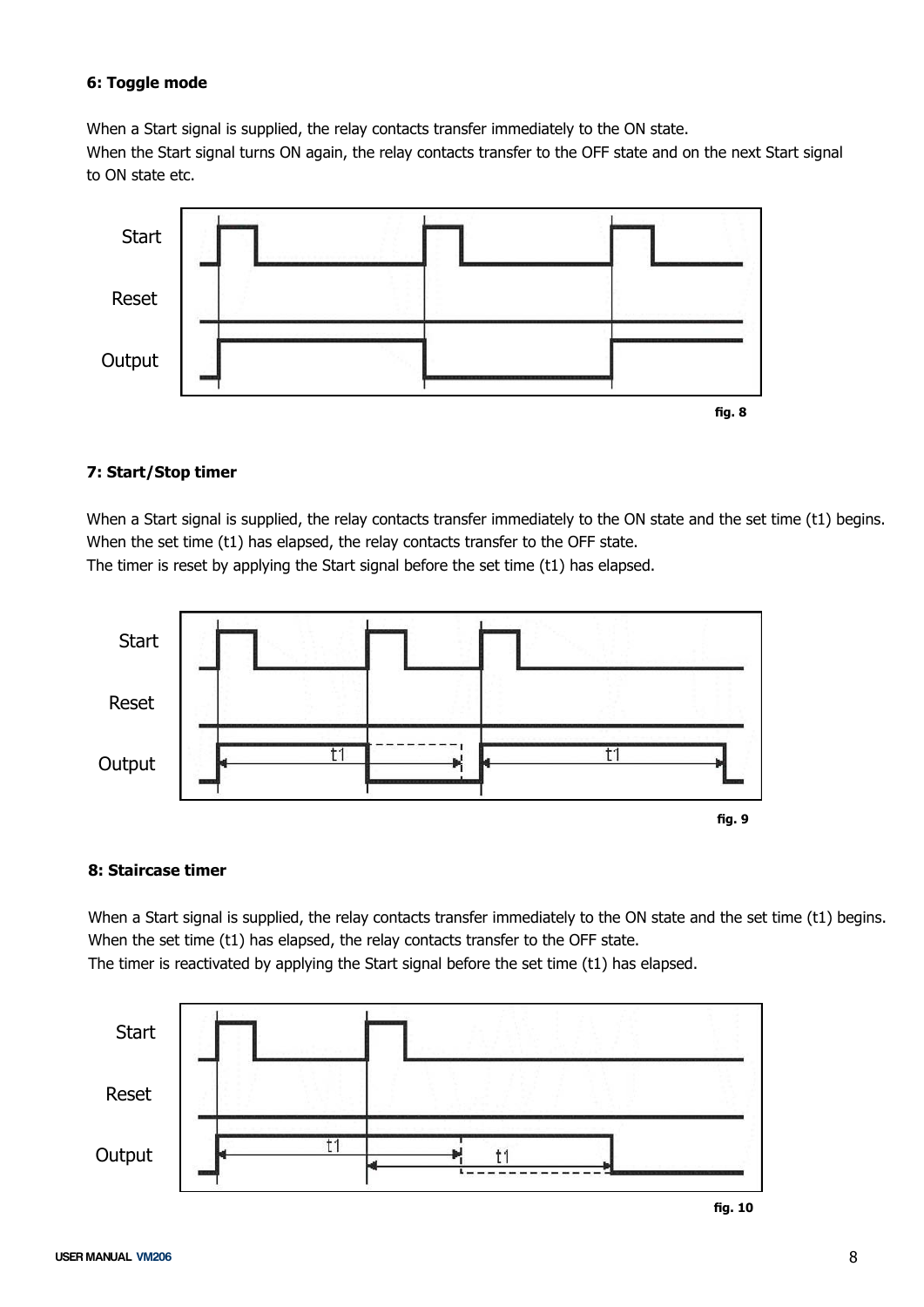## **6: Toggle mode**

When a Start signal is supplied, the relay contacts transfer immediately to the ON state. When the Start signal turns ON again, the relay contacts transfer to the OFF state and on the next Start signal to ON state etc.



## **7: Start/Stop timer**

When a Start signal is supplied, the relay contacts transfer immediately to the ON state and the set time (t1) begins. When the set time (t1) has elapsed, the relay contacts transfer to the OFF state.

The timer is reset by applying the Start signal before the set time (t1) has elapsed.



#### **8: Staircase timer**

When a Start signal is supplied, the relay contacts transfer immediately to the ON state and the set time (t1) begins. When the set time (t1) has elapsed, the relay contacts transfer to the OFF state.

The timer is reactivated by applying the Start signal before the set time (t1) has elapsed.



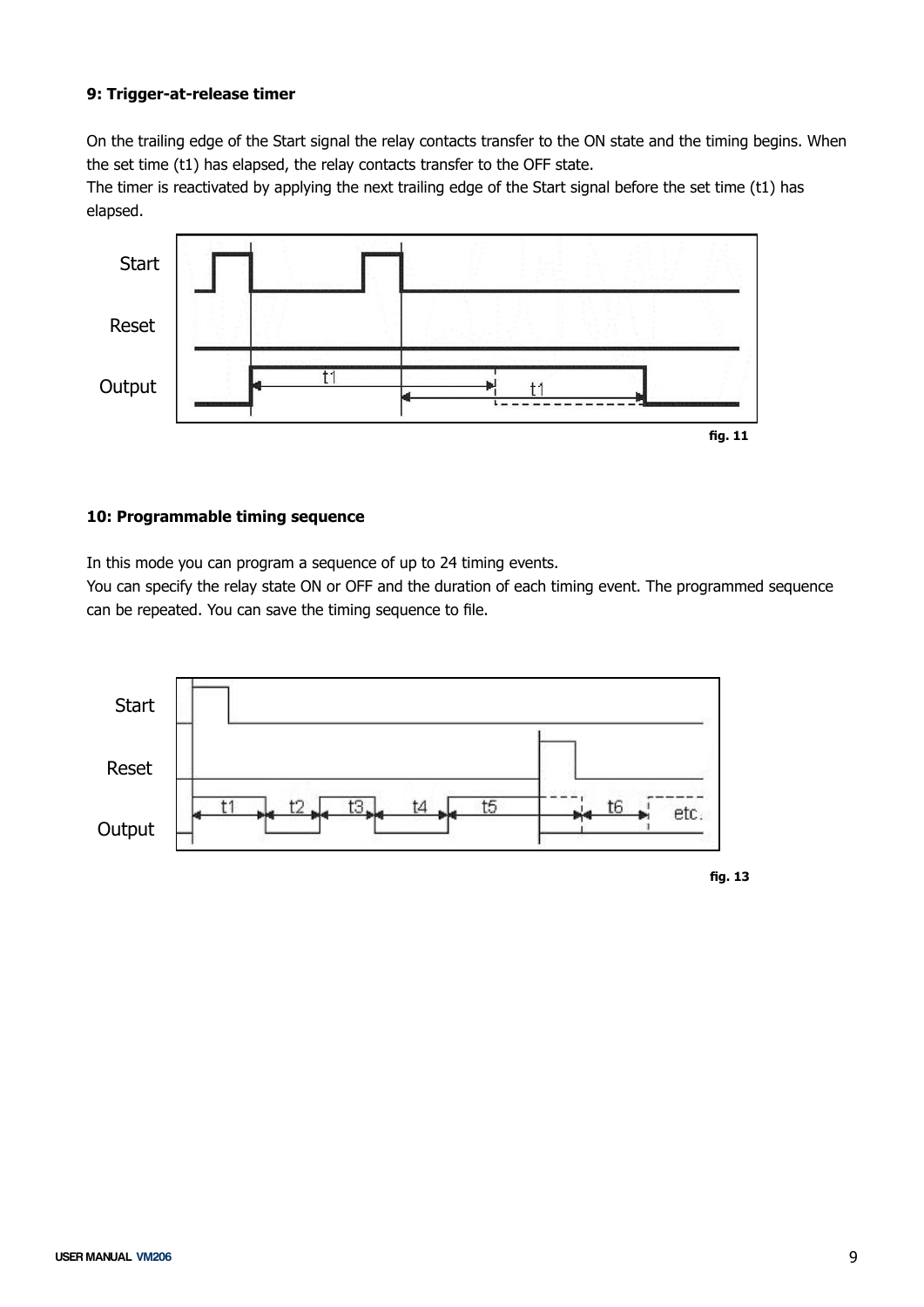## **9: Trigger-at-release timer**

On the trailing edge of the Start signal the relay contacts transfer to the ON state and the timing begins. When the set time (t1) has elapsed, the relay contacts transfer to the OFF state.

The timer is reactivated by applying the next trailing edge of the Start signal before the set time (t1) has elapsed.



#### **10: Programmable timing sequence**

In this mode you can program a sequence of up to 24 timing events.

You can specify the relay state ON or OFF and the duration of each timing event. The programmed sequence can be repeated. You can save the timing sequence to file.



**fig. 13**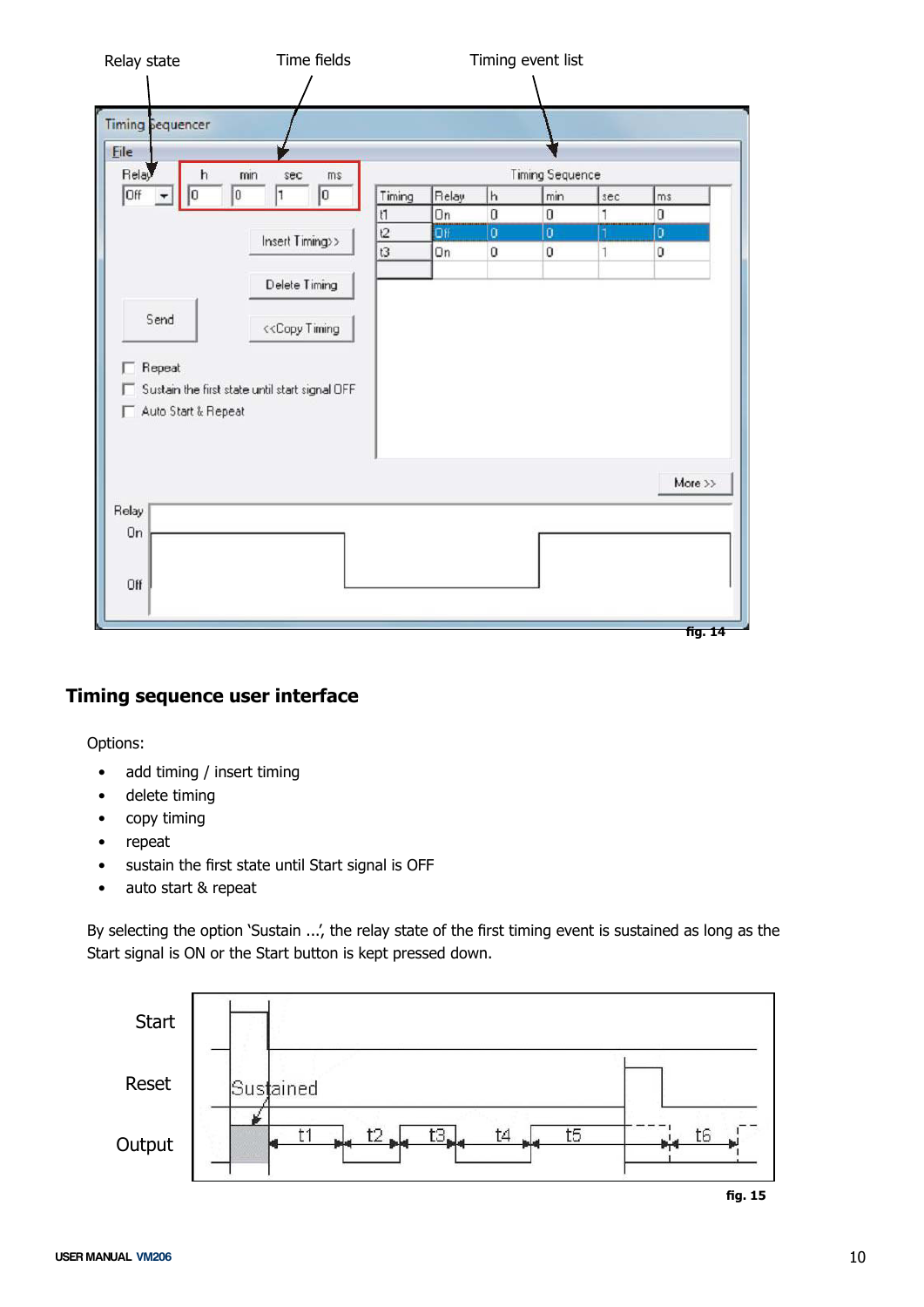<span id="page-9-0"></span>

# **Timing sequence user interface**

Options:

- add timing / insert timing
- delete timing
- copy timing
- repeat
- sustain the first state until Start signal is OFF
- auto start & repeat

By selecting the option 'Sustain ...', the relay state of the first timing event is sustained as long as the Start signal is ON or the Start button is kept pressed down.

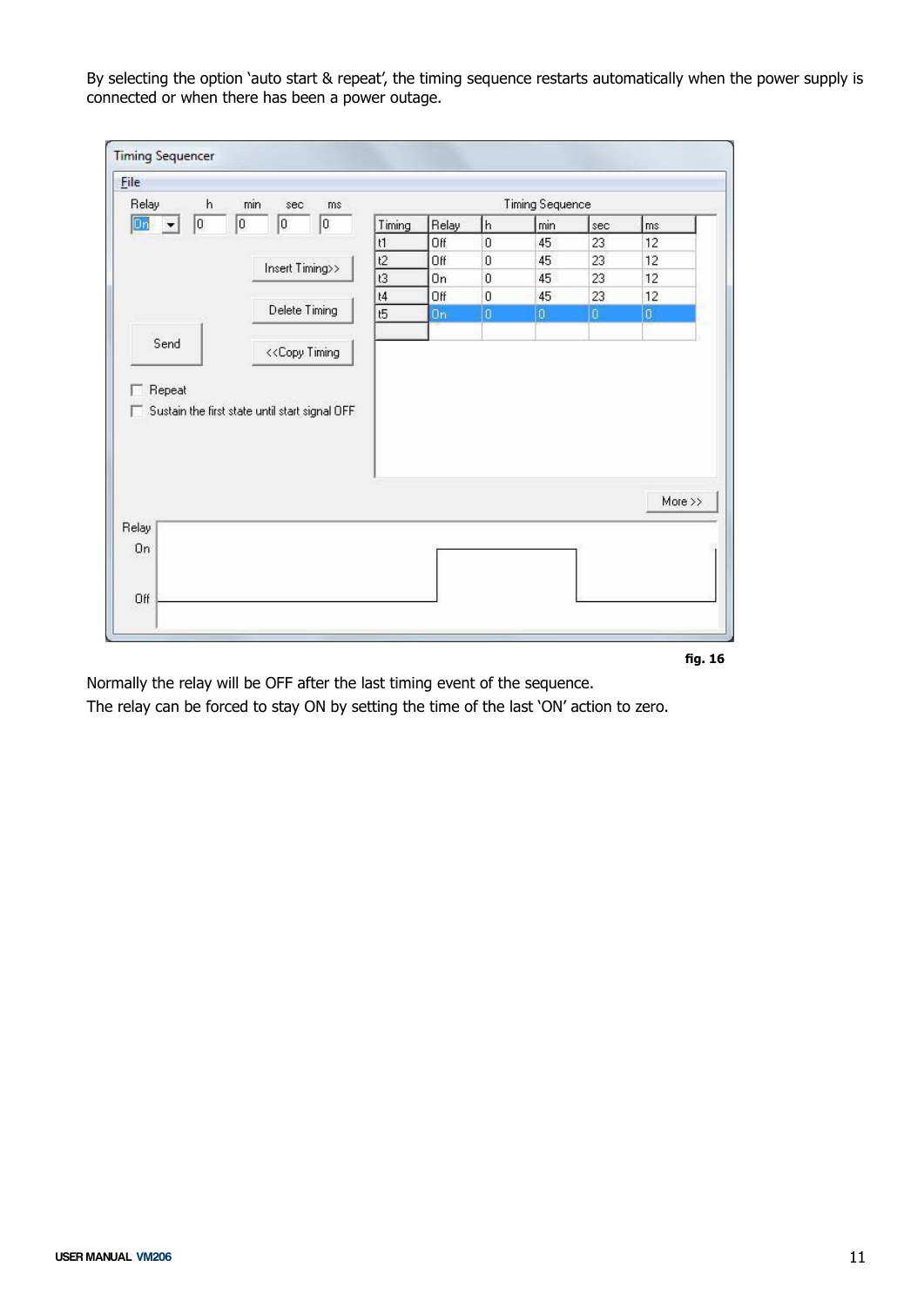By selecting the option 'auto start & repeat', the timing sequence restarts automatically when the power supply is connected or when there has been a power outage.

| <b>File</b>                     |                                                |                 |                |                  |                               |                         |          |
|---------------------------------|------------------------------------------------|-----------------|----------------|------------------|-------------------------------|-------------------------|----------|
| Relay<br>h<br>On<br>$\boxed{0}$ | min<br>sec<br>ms<br>0<br>o<br>0                | Timing          | Relay          | h                | <b>Timing Sequence</b><br>min |                         |          |
|                                 |                                                | t1              | Off            | $\bf{0}$         | 45                            | sec<br>23               | ms<br>12 |
|                                 |                                                | t2              | Off            | $\bf{0}$         | 45                            | 23                      | 12       |
|                                 | Insert Timing>>                                | t3              | On             | $\bf{0}$         | 45                            | 23                      | 12       |
|                                 |                                                | t4              | Off            | $\boldsymbol{0}$ | 45                            | 23                      | 12       |
|                                 | Delete Timing                                  | $t\overline{5}$ | 0 <sub>n</sub> | Ō                | O.                            | $\overline{\mathbf{0}}$ | O        |
| Repeat                          |                                                |                 |                |                  |                               |                         |          |
|                                 | Sustain the first state until start signal OFF |                 |                |                  |                               |                         | More >>  |
|                                 |                                                |                 |                |                  |                               |                         |          |
| Relay<br>On                     |                                                |                 |                |                  |                               |                         |          |

**fig. 16**

Normally the relay will be OFF after the last timing event of the sequence.

The relay can be forced to stay ON by setting the time of the last 'ON' action to zero.